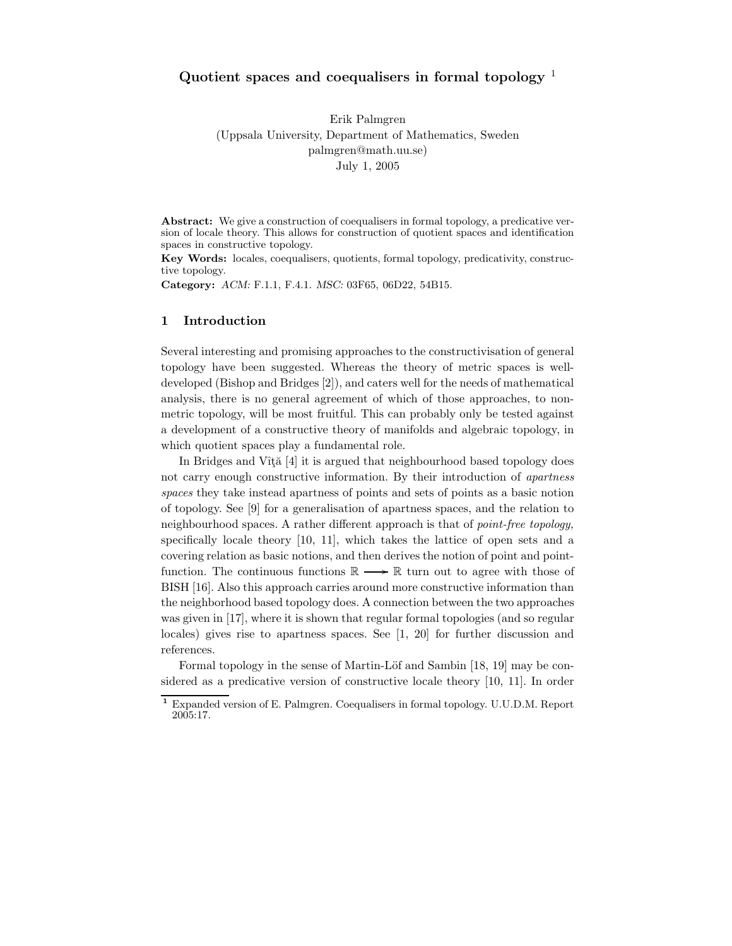# Quotient spaces and coequalisers in formal topology  $<sup>1</sup>$ </sup>

Erik Palmgren (Uppsala University, Department of Mathematics, Sweden palmgren@math.uu.se) July 1, 2005

Abstract: We give a construction of coequalisers in formal topology, a predicative version of locale theory. This allows for construction of quotient spaces and identification spaces in constructive topology.

Key Words: locales, coequalisers, quotients, formal topology, predicativity, constructive topology.

Category: ACM: F.1.1, F.4.1. MSC: 03F65, 06D22, 54B15.

#### 1 Introduction

Several interesting and promising approaches to the constructivisation of general topology have been suggested. Whereas the theory of metric spaces is welldeveloped (Bishop and Bridges [2]), and caters well for the needs of mathematical analysis, there is no general agreement of which of those approaches, to nonmetric topology, will be most fruitful. This can probably only be tested against a development of a constructive theory of manifolds and algebraic topology, in which quotient spaces play a fundamental role.

In Bridges and Vîtă $[4]$  it is argued that neighbourhood based topology does not carry enough constructive information. By their introduction of apartness spaces they take instead apartness of points and sets of points as a basic notion of topology. See [9] for a generalisation of apartness spaces, and the relation to neighbourhood spaces. A rather different approach is that of point-free topology, specifically locale theory [10, 11], which takes the lattice of open sets and a covering relation as basic notions, and then derives the notion of point and pointfunction. The continuous functions  $\mathbb{R} \longrightarrow \mathbb{R}$  turn out to agree with those of BISH [16]. Also this approach carries around more constructive information than the neighborhood based topology does. A connection between the two approaches was given in [17], where it is shown that regular formal topologies (and so regular locales) gives rise to apartness spaces. See [1, 20] for further discussion and references.

Formal topology in the sense of Martin-Löf and Sambin [18, 19] may be considered as a predicative version of constructive locale theory [10, 11]. In order

<sup>1</sup> Expanded version of E. Palmgren. Coequalisers in formal topology. U.U.D.M. Report 2005:17.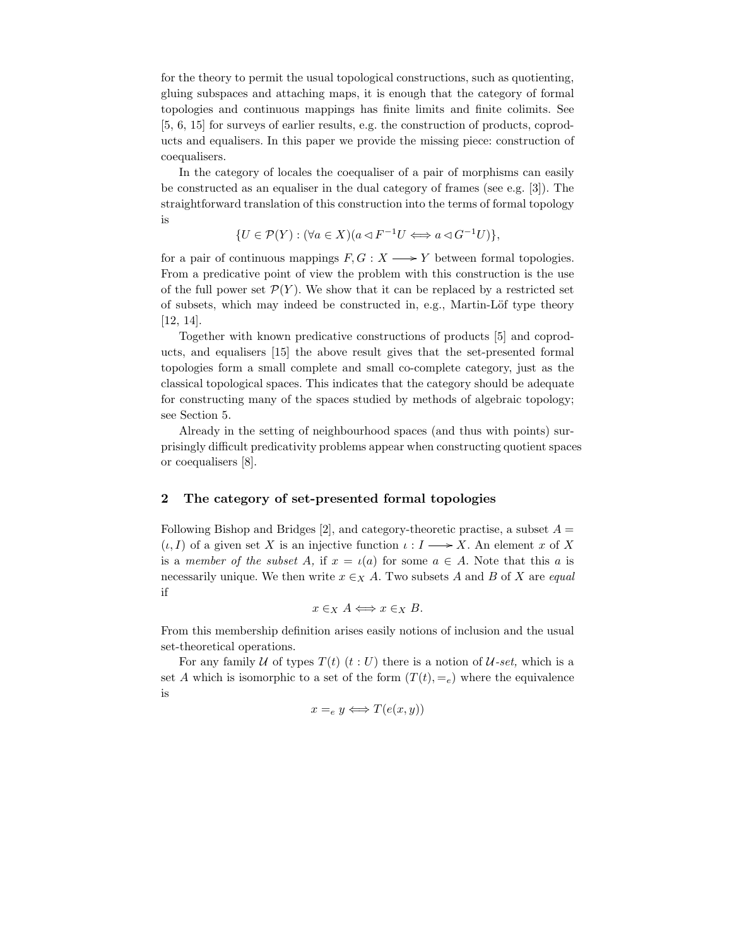for the theory to permit the usual topological constructions, such as quotienting, gluing subspaces and attaching maps, it is enough that the category of formal topologies and continuous mappings has finite limits and finite colimits. See [5, 6, 15] for surveys of earlier results, e.g. the construction of products, coproducts and equalisers. In this paper we provide the missing piece: construction of coequalisers.

In the category of locales the coequaliser of a pair of morphisms can easily be constructed as an equaliser in the dual category of frames (see e.g. [3]). The straightforward translation of this construction into the terms of formal topology is

$$
\{U \in \mathcal{P}(Y) : (\forall a \in X)(a \triangleleft F^{-1}U \Longleftrightarrow a \triangleleft G^{-1}U)\},\
$$

for a pair of continuous mappings  $F, G: X \longrightarrow Y$  between formal topologies. From a predicative point of view the problem with this construction is the use of the full power set  $\mathcal{P}(Y)$ . We show that it can be replaced by a restricted set of subsets, which may indeed be constructed in, e.g., Martin-Löf type theory [12, 14].

Together with known predicative constructions of products [5] and coproducts, and equalisers [15] the above result gives that the set-presented formal topologies form a small complete and small co-complete category, just as the classical topological spaces. This indicates that the category should be adequate for constructing many of the spaces studied by methods of algebraic topology; see Section 5.

Already in the setting of neighbourhood spaces (and thus with points) surprisingly difficult predicativity problems appear when constructing quotient spaces or coequalisers [8].

# 2 The category of set-presented formal topologies

Following Bishop and Bridges [2], and category-theoretic practise, a subset  $A =$  $(\iota, I)$  of a given set X is an injective function  $\iota: I \longrightarrow X$ . An element x of X is a member of the subset A, if  $x = \iota(a)$  for some  $a \in A$ . Note that this a is necessarily unique. We then write  $x \in X$  A. Two subsets A and B of X are equal if

$$
x \in_X A \Longleftrightarrow x \in_X B.
$$

From this membership definition arises easily notions of inclusion and the usual set-theoretical operations.

For any family U of types  $T(t)$   $(t:U)$  there is a notion of U-set, which is a set A which is isomorphic to a set of the form  $(T(t), =e)$  where the equivalence is

$$
x =_e y \Longleftrightarrow T(e(x, y))
$$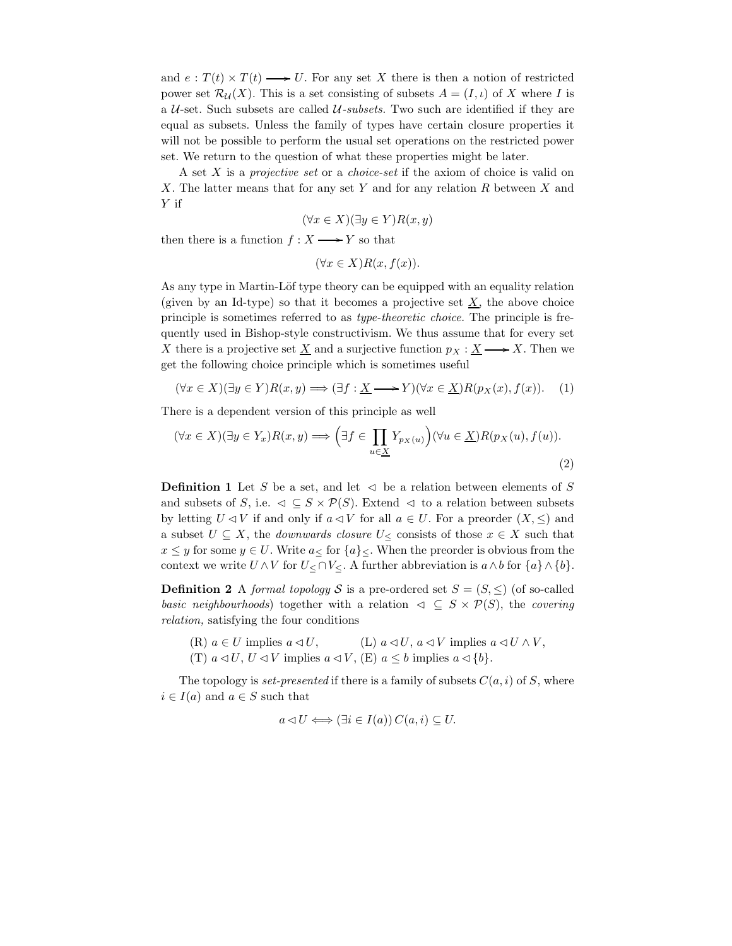and  $e: T(t) \times T(t) \longrightarrow U$ . For any set X there is then a notion of restricted power set  $\mathcal{R}_U(X)$ . This is a set consisting of subsets  $A = (I, \iota)$  of X where I is a  $U$ -set. Such subsets are called  $U$ -subsets. Two such are identified if they are equal as subsets. Unless the family of types have certain closure properties it will not be possible to perform the usual set operations on the restricted power set. We return to the question of what these properties might be later.

A set X is a projective set or a choice-set if the axiom of choice is valid on X. The latter means that for any set Y and for any relation R between X and Y if

$$
(\forall x \in X)(\exists y \in Y)R(x, y)
$$

then there is a function  $f : X \longrightarrow Y$  so that

$$
(\forall x \in X) R(x, f(x)).
$$

As any type in Martin-Löf type theory can be equipped with an equality relation (given by an Id-type) so that it becomes a projective set  $\underline{X}$ , the above choice principle is sometimes referred to as type-theoretic choice. The principle is frequently used in Bishop-style constructivism. We thus assume that for every set X there is a projective set  $\underline{X}$  and a surjective function  $p_X : \underline{X} \longrightarrow X$ . Then we get the following choice principle which is sometimes useful

$$
(\forall x \in X)(\exists y \in Y)R(x, y) \Longrightarrow (\exists f: \underline{X} \longrightarrow Y)(\forall x \in \underline{X})R(p_X(x), f(x)). \tag{1}
$$

There is a dependent version of this principle as well

$$
(\forall x \in X)(\exists y \in Y_x)R(x, y) \Longrightarrow \left(\exists f \in \prod_{u \in \underline{X}} Y_{p_X(u)}\right)(\forall u \in \underline{X})R(p_X(u), f(u)).
$$
\n
$$
(2)
$$

**Definition 1** Let S be a set, and let  $\triangleleft$  be a relation between elements of S and subsets of S, i.e.  $\triangleleft \subseteq S \times \mathcal{P}(S)$ . Extend  $\triangleleft$  to a relation between subsets by letting  $U \triangleleft V$  if and only if  $a \triangleleft V$  for all  $a \in U$ . For a preorder  $(X, \leq)$  and a subset  $U \subseteq X$ , the *downwards closure*  $U_{\leq}$  consists of those  $x \in X$  such that  $x \leq y$  for some  $y \in U$ . Write  $a \leq x \leq y$  When the preorder is obvious from the context we write  $U \wedge V$  for  $U \leq \bigcap V \leq X$ . A further abbreviation is  $a \wedge b$  for  $\{a\} \wedge \{b\}.$ 

**Definition 2** A formal topology S is a pre-ordered set  $S = (S, \leq)$  (of so-called basic neighbourhoods) together with a relation  $\varphi \subseteq S \times \mathcal{P}(S)$ , the covering relation, satisfying the four conditions

(R)  $a \in U$  implies  $a \triangleleft U$ , (L)  $a \triangleleft U$ ,  $a \triangleleft V$  implies  $a \triangleleft U \wedge V$ , (T)  $a \triangleleft U$ ,  $U \triangleleft V$  implies  $a \triangleleft V$ , (E)  $a \leq b$  implies  $a \triangleleft \{b\}$ .

The topology is *set-presented* if there is a family of subsets  $C(a, i)$  of S, where  $i \in I(a)$  and  $a \in S$  such that

$$
a \triangleleft U \Longleftrightarrow (\exists i \in I(a)) \, C(a, i) \subseteq U.
$$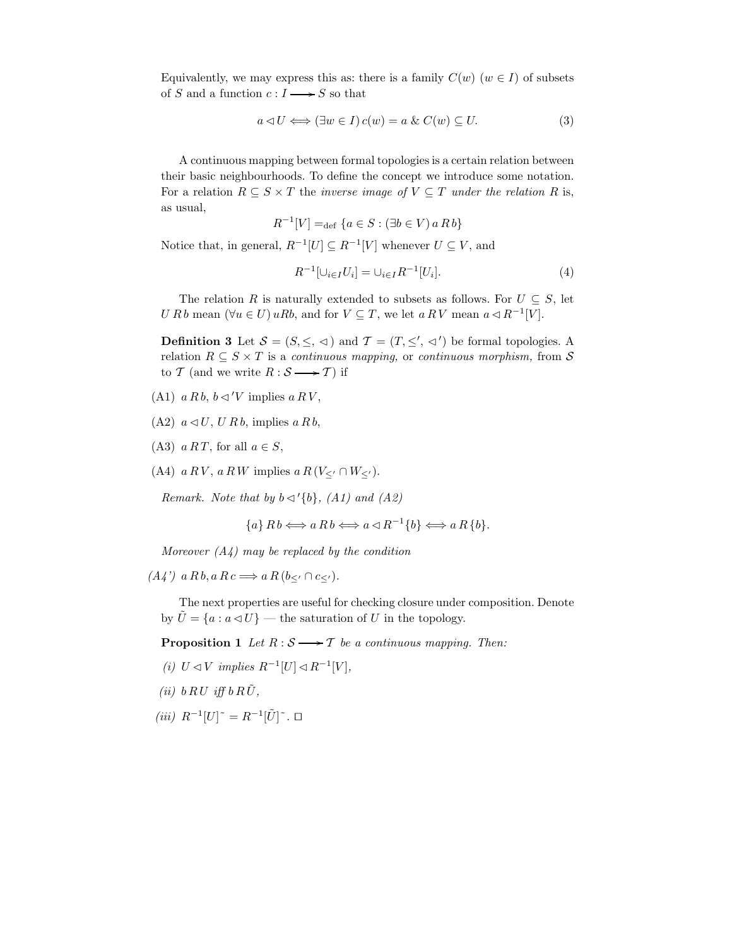Equivalently, we may express this as: there is a family  $C(w)$   $(w \in I)$  of subsets of S and a function  $c: I \longrightarrow S$  so that

$$
a \triangleleft U \Longleftrightarrow (\exists w \in I) c(w) = a \& C(w) \subseteq U.
$$
\n(3)

A continuous mapping between formal topologies is a certain relation between their basic neighbourhoods. To define the concept we introduce some notation. For a relation  $R \subseteq S \times T$  the *inverse image of*  $V \subseteq T$  *under the relation* R is, as usual,

$$
R^{-1}[V] =_{\text{def}} \{ a \in S : (\exists b \in V) \ a \ R \ b\}
$$

Notice that, in general,  $R^{-1}[U] \subseteq R^{-1}[V]$  whenever  $U \subseteq V$ , and

$$
R^{-1}[\cup_{i \in I} U_i] = \cup_{i \in I} R^{-1}[U_i]. \tag{4}
$$

The relation R is naturally extended to subsets as follows. For  $U \subseteq S$ , let U R b mean  $(\forall u \in U) uRb$ , and for  $V \subseteq T$ , we let  $a R V$  mean  $a \triangleleft R^{-1}[V]$ .

**Definition 3** Let  $S = (S, \leq, \leq)$  and  $\mathcal{T} = (T, \leq', \leq')$  be formal topologies. A relation  $R \subseteq S \times T$  is a continuous mapping, or continuous morphism, from S to T (and we write  $R : S \longrightarrow T$ ) if

- (A1)  $a R b$ ,  $b \triangleleft ' V$  implies  $a R V$ ,
- $(A2)$   $a \triangleleft U$ ,  $U R b$ , implies  $a R b$ ,
- (A3)  $a RT$ , for all  $a \in S$ ,
- (A4)  $a R V$ ,  $a R W$  implies  $a R (V_{\leq'} \cap W_{\leq'})$ .

Remark. Note that by  $b \triangleleft' \{b\}$ , (A1) and (A2)

$$
\{a\} R b \Longleftrightarrow a R b \Longleftrightarrow a \triangleleft R^{-1} \{b\} \Longleftrightarrow a R \{b\}.
$$

Moreover  $(A_4)$  may be replaced by the condition

 $(A4')$  a R b, a R c  $\Longrightarrow$  a R  $(b<sub>′</sub> \cap c<sub>′</sub>)$ .

The next properties are useful for checking closure under composition. Denote by  $\hat{U} = \{a : a \triangleleft U\}$  — the saturation of U in the topology.

**Proposition 1** Let  $R : S \longrightarrow T$  be a continuous mapping. Then:

- (i)  $U \triangleleft V$  implies  $R^{-1}[U] \triangleleft R^{-1}[V]$ ,
- (ii)  $b \, R \, U \, \text{ iff } b \, R \, \tilde{U},$
- $(iii)$   $R^{-1}[U]$ <sup>~</sup> =  $R^{-1}[\tilde{U}]$ <sup>≈</sup>. □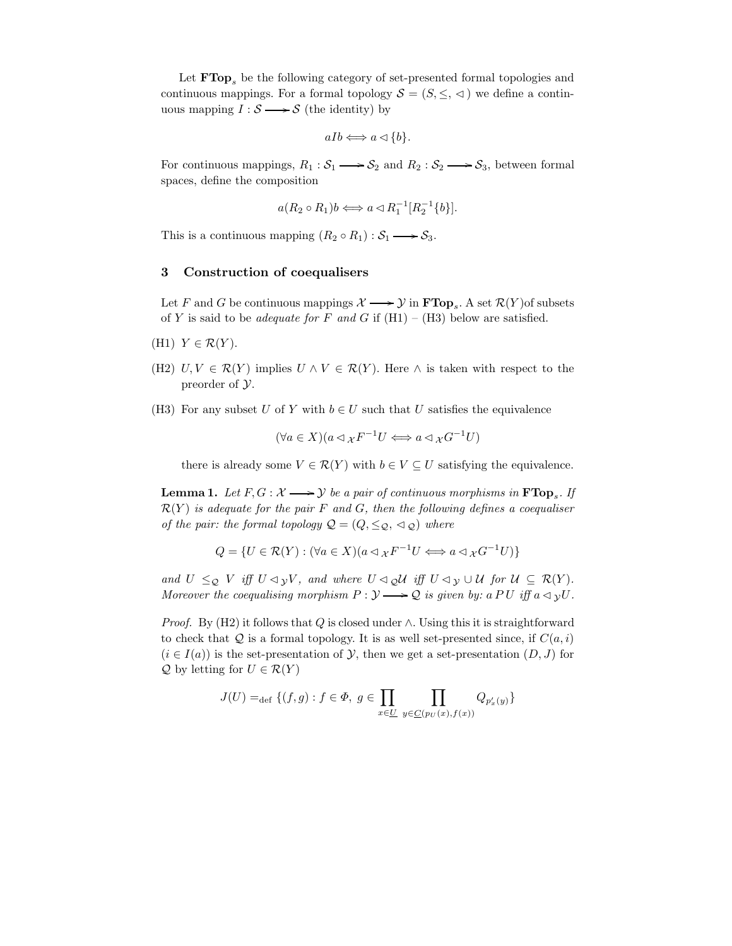Let  $\textbf{FTop}_s$  be the following category of set-presented formal topologies and continuous mappings. For a formal topology  $S = (S, \leq, \leq)$  we define a continuous mapping  $I : \mathcal{S} \longrightarrow \mathcal{S}$  (the identity) by

$$
aIb \Longleftrightarrow a \triangleleft \{b\}.
$$

For continuous mappings,  $R_1 : S_1 \longrightarrow S_2$  and  $R_2 : S_2 \longrightarrow S_3$ , between formal spaces, define the composition

$$
a(R_2 \circ R_1)b \Longleftrightarrow a \triangleleft R_1^{-1}[R_2^{-1}{b}].
$$

This is a continuous mapping  $(R_2 \circ R_1) : S_1 \longrightarrow S_3$ .

## 3 Construction of coequalisers

Let F and G be continuous mappings  $\mathcal{X} \longrightarrow \mathcal{Y}$  in  $\textbf{FTop}_s$ . A set  $\mathcal{R}(Y)$  of subsets of Y is said to be *adequate for* F and G if  $(H1) - (H3)$  below are satisfied.

- (H1)  $Y \in \mathcal{R}(Y)$ .
- (H2)  $U, V \in \mathcal{R}(Y)$  implies  $U \wedge V \in \mathcal{R}(Y)$ . Here  $\wedge$  is taken with respect to the preorder of Y.
- (H3) For any subset U of Y with  $b \in U$  such that U satisfies the equivalence

$$
(\forall a \in X)(a \triangleleft_{\mathcal{X}} F^{-1}U \Longleftrightarrow a \triangleleft_{\mathcal{X}} G^{-1}U)
$$

there is already some  $V \in \mathcal{R}(Y)$  with  $b \in V \subseteq U$  satisfying the equivalence.

**Lemma 1.** Let  $F, G: \mathcal{X} \longrightarrow \mathcal{Y}$  be a pair of continuous morphisms in  $\mathbf{FTop}_{s}.$  If  $\mathcal{R}(Y)$  is adequate for the pair F and G, then the following defines a coequaliser of the pair: the formal topology  $\mathcal{Q} = (Q, \leq_{\mathcal{Q}}, \leq_{\mathcal{Q}})$  where

$$
Q = \{ U \in \mathcal{R}(Y) : (\forall a \in X)(a \triangleleft_{\mathcal{X}} F^{-1} U \iff a \triangleleft_{\mathcal{X}} G^{-1} U) \}
$$

and  $U \leq_{\mathcal{Q}} V$  iff  $U \triangleleft_{\mathcal{Y}} V$ , and where  $U \triangleleft_{\mathcal{Q}} \mathcal{U}$  iff  $U \triangleleft_{\mathcal{Y}} \cup \mathcal{U}$  for  $\mathcal{U} \subseteq \mathcal{R}(Y)$ . Moreover the coequalising morphism  $P: \mathcal{Y} \longrightarrow \mathcal{Q}$  is given by: a PU iff  $a \triangleleft yU$ .

*Proof.* By (H2) it follows that Q is closed under  $\wedge$ . Using this it is straightforward to check that  $Q$  is a formal topology. It is as well set-presented since, if  $C(a,i)$  $(i \in I(a))$  is the set-presentation of  $\mathcal{Y}$ , then we get a set-presentation  $(D, J)$  for  $\mathcal Q$  by letting for  $U \in \mathcal R(Y)$ 

$$
J(U) =_{\text{def}} \{ (f, g) : f \in \Phi, g \in \prod_{x \in \underline{U}} \prod_{y \in \underline{C}(p_U(x), f(x))} Q_{p'_x(y)} \}
$$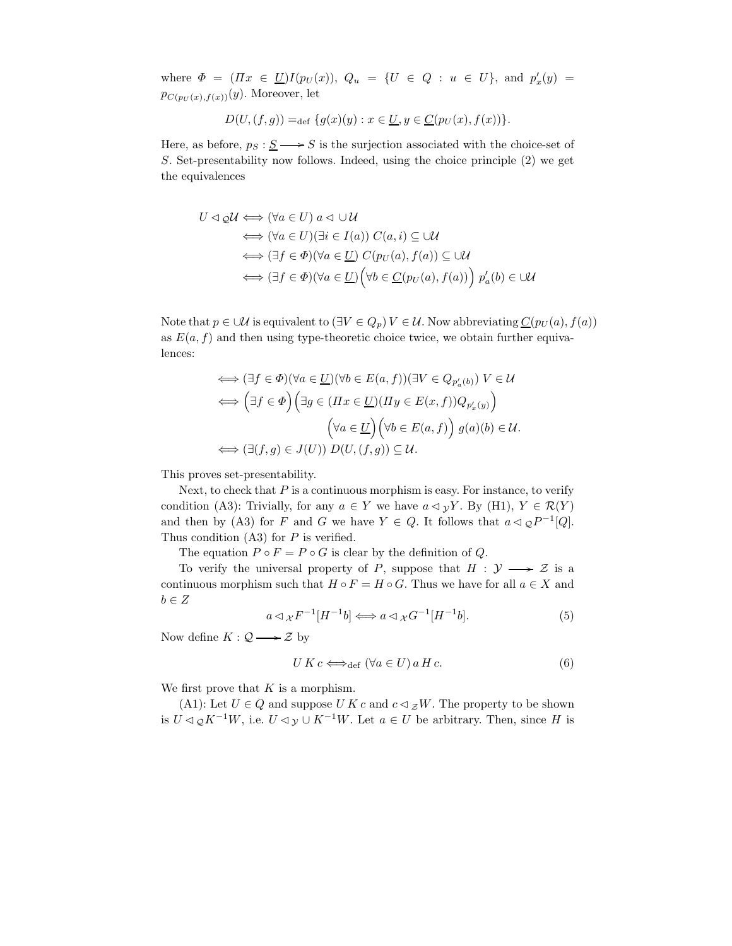where  $\Phi = (Hx \in U)I(p_U(x)), Q_u = \{U \in Q : u \in U\}$ , and  $p'_x(y) =$  $p_{C(p_U(x),f(x))}(y)$ . Moreover, let

$$
D(U, (f, g)) =_{\text{def}} \{g(x)(y) : x \in \underline{U}, y \in \underline{C}(p_U(x), f(x))\}.
$$

Here, as before,  $p_S : S \longrightarrow S$  is the surjection associated with the choice-set of S. Set-presentability now follows. Indeed, using the choice principle (2) we get the equivalences

$$
U \lhd \mathcal{Q}U \iff (\forall a \in U) \ a \lhd \cup U
$$
  
\n
$$
\iff (\forall a \in U)(\exists i \in I(a)) \ C(a, i) \subseteq \cup U
$$
  
\n
$$
\iff (\exists f \in \Phi)(\forall a \in \underline{U}) \ C(p_U(a), f(a)) \subseteq \cup U
$$
  
\n
$$
\iff (\exists f \in \Phi)(\forall a \in \underline{U}) \Big(\forall b \in \underline{C}(p_U(a), f(a))\Big) \ p'_a(b) \in \cup U
$$

Note that  $p \in \mathcal{U}$  is equivalent to  $(\exists V \in Q_p) V \in \mathcal{U}$ . Now abbreviating  $C(p_U(a), f(a))$ as  $E(a, f)$  and then using type-theoretic choice twice, we obtain further equivalences:

$$
\iff (\exists f \in \Phi)(\forall a \in \underline{U})(\forall b \in E(a, f))(\exists V \in Q_{p'_a(b)}) \quad V \in \mathcal{U}
$$
\n
$$
\iff \left(\exists f \in \Phi\right) \left(\exists g \in (\Pi x \in \underline{U})(\Pi y \in E(x, f))Q_{p'_x(y)}\right)
$$
\n
$$
\left(\forall a \in \underline{U}\right) \left(\forall b \in E(a, f)\right) g(a)(b) \in \mathcal{U}.
$$
\n
$$
\iff (\exists (f, g) \in J(U)) \ D(U, (f, g)) \subseteq \mathcal{U}.
$$

This proves set-presentability.

Next, to check that  $P$  is a continuous morphism is easy. For instance, to verify condition (A3): Trivially, for any  $a \in Y$  we have  $a \triangleleft yY$ . By (H1),  $Y \in \mathcal{R}(Y)$ and then by (A3) for F and G we have  $Y \in Q$ . It follows that  $a \triangleleft q P^{-1}[Q]$ . Thus condition  $(A3)$  for P is verified.

The equation  $P \circ F = P \circ G$  is clear by the definition of Q.

To verify the universal property of P, suppose that  $H : \mathcal{Y} \longrightarrow \mathcal{Z}$  is a continuous morphism such that  $H \circ F = H \circ G$ . Thus we have for all  $a \in X$  and  $b \in Z$ 

$$
a \triangleleft_{\mathcal{X}} F^{-1}[H^{-1}b] \Longleftrightarrow a \triangleleft_{\mathcal{X}} G^{-1}[H^{-1}b]. \tag{5}
$$

Now define  $K: \mathcal{Q} \longrightarrow \mathcal{Z}$  by

$$
U K c \Longleftrightarrow_{\text{def}} (\forall a \in U) a H c. \tag{6}
$$

We first prove that  $K$  is a morphism.

(A1): Let  $U \in Q$  and suppose U K c and  $c \triangleleft zW$ . The property to be shown is  $U \triangleleft_{\mathcal{Q}} K^{-1}W$ , i.e.  $U \triangleleft_{\mathcal{Y}} \cup K^{-1}W$ . Let  $a \in U$  be arbitrary. Then, since H is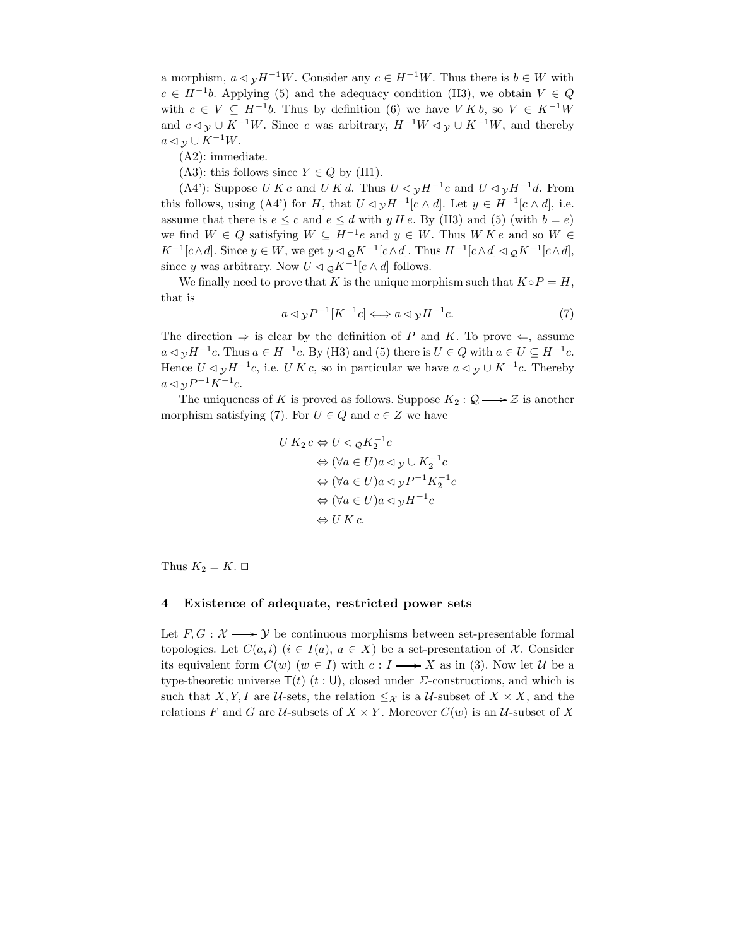a morphism,  $a \triangleleft y H^{-1}W$ . Consider any  $c \in H^{-1}W$ . Thus there is  $b \in W$  with  $c \in H^{-1}b$ . Applying (5) and the adequacy condition (H3), we obtain  $V \in Q$ with  $c \in V \subseteq H^{-1}b$ . Thus by definition (6) we have  $V K b$ , so  $V \in K^{-1}W$ and  $c \triangleleft y \cup K^{-1}W$ . Since c was arbitrary,  $H^{-1}W \triangleleft y \cup K^{-1}W$ , and thereby  $a \triangleleft y \cup K^{-1}W$ .

(A2): immediate.

(A3): this follows since  $Y \in Q$  by (H1).

(A4'): Suppose U K c and U K d. Thus  $U \triangleleft y H^{-1}c$  and  $U \triangleleft y H^{-1}d$ . From this follows, using (A4') for H, that  $U \lhd y H^{-1}[c \wedge d]$ . Let  $y \in H^{-1}[c \wedge d]$ , i.e. assume that there is  $e \leq c$  and  $e \leq d$  with  $y H e$ . By (H3) and (5) (with  $b = e$ ) we find  $W \in Q$  satisfying  $W \subseteq H^{-1}e$  and  $y \in W$ . Thus  $W K e$  and so  $W \in$  $K^{-1}[c \wedge d]$ . Since  $y \in W$ , we get  $y \triangleleft {}_{\mathcal{Q}} K^{-1}[c \wedge d]$ . Thus  $H^{-1}[c \wedge d] \triangleleft {}_{\mathcal{Q}} K^{-1}[c \wedge d]$ , since y was arbitrary. Now  $U \triangleleft \varrho K^{-1}[c \wedge d]$  follows.

We finally need to prove that K is the unique morphism such that  $K \circ P = H$ , that is

$$
a \triangleleft y P^{-1}[K^{-1}c] \Longleftrightarrow a \triangleleft y H^{-1}c. \tag{7}
$$

The direction  $\Rightarrow$  is clear by the definition of P and K. To prove  $\Leftarrow$ , assume  $a \triangleleft y H^{-1}c$ . Thus  $a \in H^{-1}c$ . By (H3) and (5) there is  $U \in Q$  with  $a \in U \subseteq H^{-1}c$ . Hence  $U \triangleleft y H^{-1}c$ , i.e. U K c, so in particular we have  $a \triangleleft y \cup K^{-1}c$ . Thereby  $a \triangleleft y P^{-1} K^{-1} c.$ 

The uniqueness of K is proved as follows. Suppose  $K_2 : \mathcal{Q} \longrightarrow \mathcal{Z}$  is another morphism satisfying (7). For  $U \in Q$  and  $c \in Z$  we have

$$
U K_2 c \Leftrightarrow U \lhd_{\mathcal{Q}} K_2^{-1} c
$$
  
\n
$$
\Leftrightarrow (\forall a \in U) a \lhd y \cup K_2^{-1} c
$$
  
\n
$$
\Leftrightarrow (\forall a \in U) a \lhd y P^{-1} K_2^{-1} c
$$
  
\n
$$
\Leftrightarrow (\forall a \in U) a \lhd y H^{-1} c
$$
  
\n
$$
\Leftrightarrow U K c.
$$

Thus  $K_2 = K$ .  $\Box$ 

### 4 Existence of adequate, restricted power sets

Let  $F, G: \mathcal{X} \longrightarrow \mathcal{Y}$  be continuous morphisms between set-presentable formal topologies. Let  $C(a,i)$   $(i \in I(a), a \in X)$  be a set-presentation of X. Consider its equivalent form  $C(w)$   $(w \in I)$  with  $c: I \longrightarrow X$  as in (3). Now let U be a type-theoretic universe  $T(t)$  (t: U), closed under  $\Sigma$ -constructions, and which is such that X, Y, I are U-sets, the relation  $\leq_{\mathcal{X}}$  is a U-subset of  $X \times X$ , and the relations F and G are U-subsets of  $X \times Y$ . Moreover  $C(w)$  is an U-subset of X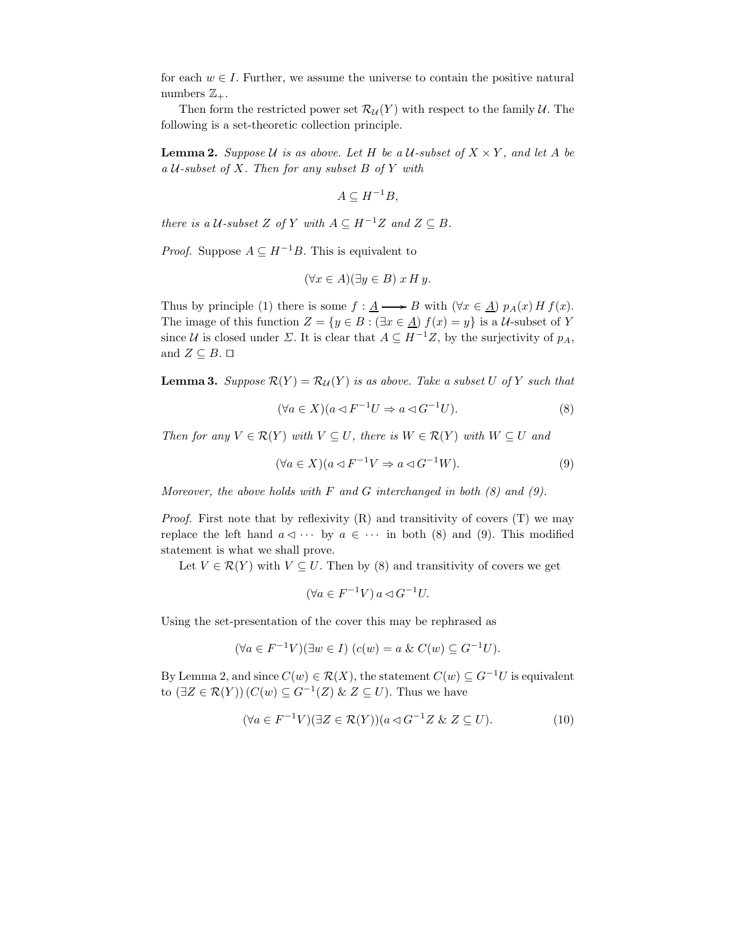for each  $w \in I$ . Further, we assume the universe to contain the positive natural numbers  $\mathbb{Z}_+$ .

Then form the restricted power set  $\mathcal{R}_{\mathcal{U}}(Y)$  with respect to the family  $\mathcal{U}$ . The following is a set-theoretic collection principle.

**Lemma 2.** Suppose U is as above. Let H be a U-subset of  $X \times Y$ , and let A be a  $U$ -subset of X. Then for any subset B of Y with

$$
A\subseteq H^{-1}B,
$$

there is a  $U$ -subset Z of Y with  $A \subseteq H^{-1}Z$  and  $Z \subseteq B$ .

*Proof.* Suppose  $A \subseteq H^{-1}B$ . This is equivalent to

$$
(\forall x \in A)(\exists y \in B) x H y.
$$

Thus by principle (1) there is some  $f : \underline{A} \longrightarrow B$  with  $(\forall x \in \underline{A}) p_A(x) H f(x)$ . The image of this function  $Z = \{y \in B : (\exists x \in \underline{A}) f(x) = y\}$  is a U-subset of Y since U is closed under  $\Sigma$ . It is clear that  $A \subseteq H^{-1}Z$ , by the surjectivity of  $p_A$ , and  $Z \subseteq B$ .  $\Box$ 

**Lemma 3.** Suppose  $\mathcal{R}(Y) = \mathcal{R}_{\mathcal{U}}(Y)$  is as above. Take a subset U of Y such that

$$
(\forall a \in X)(a \triangleleft F^{-1}U \Rightarrow a \triangleleft G^{-1}U). \tag{8}
$$

Then for any  $V \in \mathcal{R}(Y)$  with  $V \subseteq U$ , there is  $W \in \mathcal{R}(Y)$  with  $W \subseteq U$  and

$$
(\forall a \in X)(a \triangleleft F^{-1}V \Rightarrow a \triangleleft G^{-1}W). \tag{9}
$$

Moreover, the above holds with  $F$  and  $G$  interchanged in both  $(8)$  and  $(9)$ .

*Proof.* First note that by reflexivity  $(R)$  and transitivity of covers  $(T)$  we may replace the left hand  $a \triangleleft \cdots$  by  $a \in \cdots$  in both (8) and (9). This modified statement is what we shall prove.

Let  $V \in \mathcal{R}(Y)$  with  $V \subseteq U$ . Then by (8) and transitivity of covers we get

$$
(\forall a \in F^{-1}V) \, a \triangleleft G^{-1}U.
$$

Using the set-presentation of the cover this may be rephrased as

$$
(\forall a \in F^{-1}V)(\exists w \in I) (c(w) = a \& C(w) \subseteq G^{-1}U).
$$

By Lemma 2, and since  $C(w) \in \mathcal{R}(X)$ , the statement  $C(w) \subseteq G^{-1}U$  is equivalent to  $(\exists Z \in \mathcal{R}(Y)) (C(w) \subseteq G^{-1}(Z) \& Z \subseteq U)$ . Thus we have

$$
(\forall a \in F^{-1}V)(\exists Z \in \mathcal{R}(Y))(a \triangleleft G^{-1}Z \& Z \subseteq U). \tag{10}
$$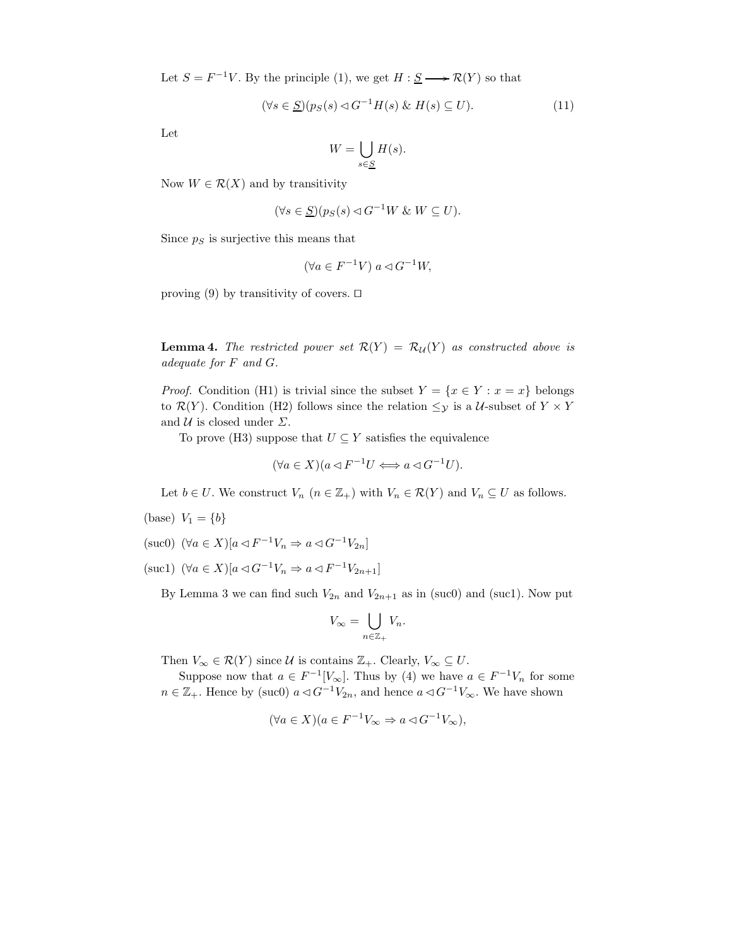Let  $S = F^{-1}V$ . By the principle (1), we get  $H : \underline{S} \longrightarrow \mathcal{R}(Y)$  so that

$$
(\forall s \in \underline{S})(p_S(s) \lhd G^{-1}H(s) \& H(s) \subseteq U). \tag{11}
$$

Let

$$
W = \bigcup_{s \in \underline{S}} H(s).
$$

Now  $W \in \mathcal{R}(X)$  and by transitivity

$$
(\forall s \in \underline{S})(p_S(s) \triangleleft G^{-1}W \& W \subseteq U).
$$

Since  $p<sub>S</sub>$  is surjective this means that

$$
(\forall a \in F^{-1}V) \ a \lhd G^{-1}W,
$$

proving (9) by transitivity of covers.  $\Box$ 

**Lemma 4.** The restricted power set  $\mathcal{R}(Y) = \mathcal{R}_{\mathcal{U}}(Y)$  as constructed above is adequate for F and G.

*Proof.* Condition (H1) is trivial since the subset  $Y = \{x \in Y : x = x\}$  belongs to  $\mathcal{R}(Y)$ . Condition (H2) follows since the relation  $\leq_{\mathcal{Y}}$  is a U-subset of  $Y \times Y$ and  $\mathcal U$  is closed under  $\Sigma$ .

To prove (H3) suppose that  $U \subseteq Y$  satisfies the equivalence

$$
(\forall a \in X)(a \lhd F^{-1}U \iff a \lhd G^{-1}U).
$$

Let  $b \in U$ . We construct  $V_n$   $(n \in \mathbb{Z}_+)$  with  $V_n \in \mathcal{R}(Y)$  and  $V_n \subseteq U$  as follows.

- (base)  $V_1 = \{b\}$
- (suc0)  $(\forall a \in X)[a \triangleleft F^{-1}V_n \Rightarrow a \triangleleft G^{-1}V_{2n}]$
- (suc1)  $(\forall a \in X)[a \triangleleft G^{-1}V_n \Rightarrow a \triangleleft F^{-1}V_{2n+1}]$

By Lemma 3 we can find such  $V_{2n}$  and  $V_{2n+1}$  as in (suc0) and (suc1). Now put

$$
V_{\infty} = \bigcup_{n \in \mathbb{Z}_+} V_n.
$$

Then  $V_{\infty} \in \mathcal{R}(Y)$  since  $\mathcal U$  is contains  $\mathbb{Z}_+$ . Clearly,  $V_{\infty} \subseteq U$ .

Suppose now that  $a \in F^{-1}[V_\infty]$ . Thus by (4) we have  $a \in F^{-1}V_n$  for some  $n \in \mathbb{Z}_+$ . Hence by (suc0)  $a \triangleleft G^{-1}V_{2n}$ , and hence  $a \triangleleft G^{-1}V_{\infty}$ . We have shown

$$
(\forall a \in X)(a \in F^{-1}V_{\infty} \Rightarrow a \triangleleft G^{-1}V_{\infty}),
$$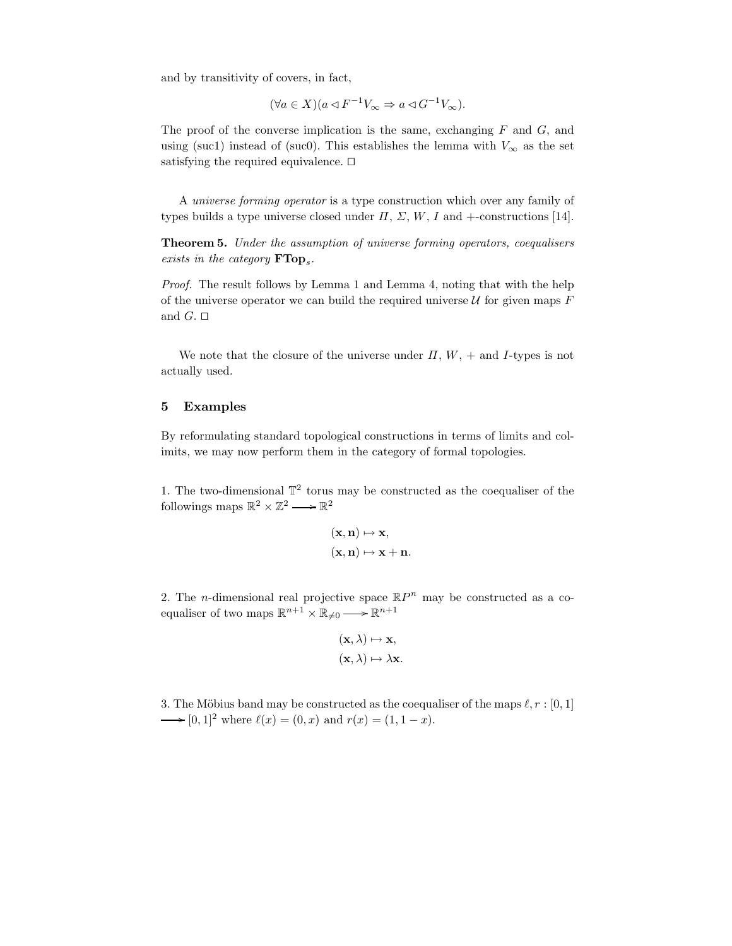and by transitivity of covers, in fact,

$$
(\forall a \in X)(a \lhd F^{-1}V_{\infty} \Rightarrow a \lhd G^{-1}V_{\infty}).
$$

The proof of the converse implication is the same, exchanging  $F$  and  $G$ , and using (suc1) instead of (suc0). This establishes the lemma with  $V_{\infty}$  as the set satisfying the required equivalence.  $\Box$ 

A universe forming operator is a type construction which over any family of types builds a type universe closed under  $\Pi$ ,  $\Sigma$ ,  $W$ ,  $I$  and  $+$ -constructions [14].

Theorem 5. Under the assumption of universe forming operators, coequalisers exists in the category  $\textbf{FTop}_{s}$ .

Proof. The result follows by Lemma 1 and Lemma 4, noting that with the help of the universe operator we can build the required universe  $U$  for given maps  $F$ and  $G. \Box$ 

We note that the closure of the universe under  $\Pi$ ,  $W$ ,  $+$  and I-types is not actually used.

### 5 Examples

By reformulating standard topological constructions in terms of limits and colimits, we may now perform them in the category of formal topologies.

1. The two-dimensional  $\mathbb{T}^2$  torus may be constructed as the coequaliser of the followings maps  $\mathbb{R}^2 \times \mathbb{Z}^2 \longrightarrow \mathbb{R}^2$ 

$$
(\mathbf{x}, \mathbf{n}) \mapsto \mathbf{x},
$$

$$
(\mathbf{x}, \mathbf{n}) \mapsto \mathbf{x} + \mathbf{n}.
$$

2. The *n*-dimensional real projective space  $\mathbb{R}P^n$  may be constructed as a coequaliser of two maps  $\mathbb{R}^{n+1} \times \mathbb{R}_{\neq 0} \longrightarrow \mathbb{R}^{n+1}$ 

$$
(\mathbf{x}, \lambda) \mapsto \mathbf{x},
$$

$$
(\mathbf{x}, \lambda) \mapsto \lambda \mathbf{x}.
$$

3. The Möbius band may be constructed as the coequaliser of the maps  $\ell, r : [0, 1]$ → [0, 1]<sup>2</sup> where  $\ell(x) = (0, x)$  and  $r(x) = (1, 1 - x)$ .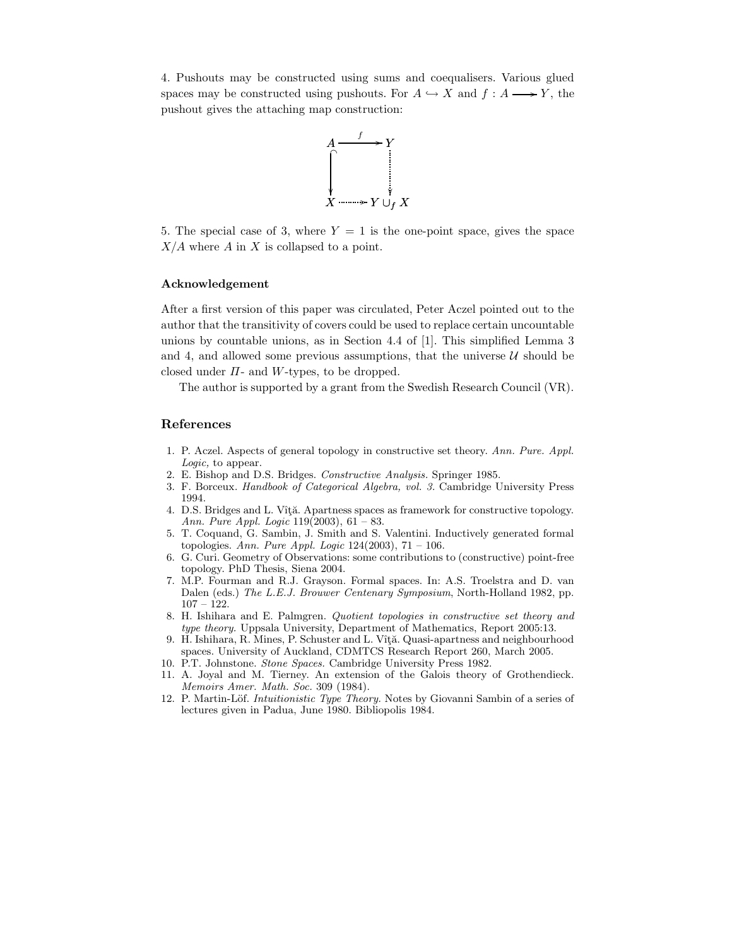4. Pushouts may be constructed using sums and coequalisers. Various glued spaces may be constructed using pushouts. For  $A \hookrightarrow X$  and  $f : A \longrightarrow Y$ , the pushout gives the attaching map construction:



5. The special case of 3, where  $Y = 1$  is the one-point space, gives the space  $X/A$  where A in X is collapsed to a point.

### Acknowledgement

After a first version of this paper was circulated, Peter Aczel pointed out to the author that the transitivity of covers could be used to replace certain uncountable unions by countable unions, as in Section 4.4 of [1]. This simplified Lemma 3 and 4, and allowed some previous assumptions, that the universe  $U$  should be closed under  $\Pi$ - and W-types, to be dropped.

The author is supported by a grant from the Swedish Research Council (VR).

### References

- 1. P. Aczel. Aspects of general topology in constructive set theory. Ann. Pure. Appl. Logic, to appear.
- 2. E. Bishop and D.S. Bridges. Constructive Analysis. Springer 1985.
- 3. F. Borceux. Handbook of Categorical Algebra, vol. 3. Cambridge University Press 1994.
- 4. D.S. Bridges and L. Vîță. Apartness spaces as framework for constructive topology. Ann. Pure Appl. Logic 119(2003), 61 – 83.
- 5. T. Coquand, G. Sambin, J. Smith and S. Valentini. Inductively generated formal topologies. Ann. Pure Appl. Logic 124(2003),  $71 - 106$ .
- 6. G. Curi. Geometry of Observations: some contributions to (constructive) point-free topology. PhD Thesis, Siena 2004.
- 7. M.P. Fourman and R.J. Grayson. Formal spaces. In: A.S. Troelstra and D. van Dalen (eds.) The L.E.J. Brouwer Centenary Symposium, North-Holland 1982, pp. 107 – 122.
- 8. H. Ishihara and E. Palmgren. Quotient topologies in constructive set theory and type theory. Uppsala University, Department of Mathematics, Report 2005:13.
- 9. H. Ishihara, R. Mines, P. Schuster and L. Vîță. Quasi-apartness and neighbourhood spaces. University of Auckland, CDMTCS Research Report 260, March 2005.
- 10. P.T. Johnstone. Stone Spaces. Cambridge University Press 1982.
- 11. A. Joyal and M. Tierney. An extension of the Galois theory of Grothendieck. Memoirs Amer. Math. Soc. 309 (1984).
- 12. P. Martin-Löf. Intuitionistic Type Theory. Notes by Giovanni Sambin of a series of lectures given in Padua, June 1980. Bibliopolis 1984.